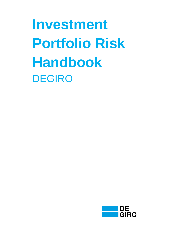**Investment Portfolio Risk Handbook** DEGIRO

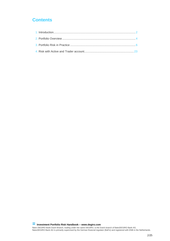# **Contents**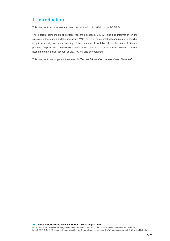# **1. Introduction**

This handbook provides information on the calculation of portfolio risk at DEGIRO.

The different components of portfolio risk are discussed. You will also find information on the structure of the margin and the free scope. With the aid of some practical examples, it is possible to gain a step-by-step understanding of the structure of portfolio risk on the basis of different portfolio compositions. The main differences in the calculation of portfolio risks between a 'trader' account and an 'active' account at DEGIRO will also be explained.

This handbook is a supplement to the guide *'Further Information on Investment Services'*.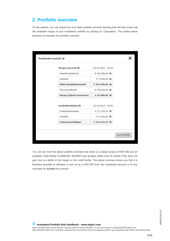# <span id="page-3-0"></span>**2. Portfolio overview**

On the website, you can request an up to date portfolio overview showing both the free scope and the available margin of your investment portfolio by clicking on 'Calculation'. The outline below presents an example of a portfolio overview:

| Margin overzicht @           | $22 - 10 - 2013 - 15:53$             |  |
|------------------------------|--------------------------------------|--|
| Waarde portefeuille          | € 302.000,00 ©                       |  |
| Kassaldo                     | $E - 5.000,00$ $Q$                   |  |
| Netto liquiditeitswaarde     | $C$ 297.000,00 $Q$                   |  |
| Risico portefeuille          | € 200,000,00 ©                       |  |
| Margin (tekort/overschot)    | € 97.000,00 ©                        |  |
| Kredietfaciliteiten @        | $22 - 10 - 2013 - 15:53$             |  |
| Onderpandswaarde<br>Kassaldo | € 211,400,00 ©<br>€-5.000,00 $\odot$ |  |
| Tekort/beschikbaar           | € 206.400,00 ©                       |  |

You can see from the above portfolio overview that there is a margin surplus of €97,000 and an available credit facility of €206,400. DEGIRO only accepts orders from its clients if this does not give rise to a deficit in the margin or the credit facility. The above overview shows you that it is therefore possible to withdraw a sum of up to €97,000 from the investment account or to buy securities for *at least* this amount.

**= Investment Portfolio Risk Handbook – [www.degiro.com](http://www.degiro.com/)**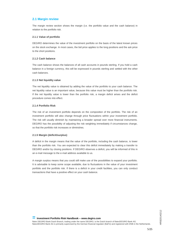# **2.1 Margin review**

The margin review section shows the margin (i.e. the portfolio value and the cash balance) in relation to the portfolio risk.

## **2.1.1 Value of portfolio**

DEGIRO determines the value of the investment portfolio on the basis of the latest known prices on the stock exchange. In most cases, the bid price applies to the long positions and the ask price to the short positions.

## **2.1.2 Cash balance**

The cash balance shows the balances of all cash accounts in pounds sterling. If you hold a cash balance in a foreign currency, this will be expressed in pounds sterling and settled with the other cash balances.

## **2.1.3 Net liquidity value**

The net liquidity value is obtained by adding the value of the portfolio to your cash balance. The net liquidity value is an important value, because this value must be higher than the portfolio risk. If the net liquidity value is lower than the portfolio risk, a margin deficit arises and the deficit procedure comes into effect.

## **2.1.4 Portfolio Risk**

The risk of an investment portfolio depends on the composition of the portfolio. The risk of an investment portfolio will also change through price fluctuations within your investment portfolio. The risk will usually diminish by maintaining a broader spread over more financial instruments. DEGIRO has the possibility of adjusting the risk weighting immediately if circumstances change, so that the portfolio risk increases or diminishes.

## **2.1.5 Margin (deficit/surplus)**

A deficit in the margin means that the value of the portfolio, including the cash balance, is lower than the portfolio risk. You are expected to clear this deficit immediately by making a transfer to DEGIRO and/or by closing positions. If DEGIRO observes a deficit, you will be informed of this in an e-mail message to the e-mail address available to us.

A margin surplus means that you could still make use of the possibilities to expand your portfolio. It is advisable to keep some scope available, due to fluctuations in the value of your investment portfolio and the portfolio risk. If there is a deficit in your credit facilities, you can only conduct transactions that have a positive effect on your cash balance.

**= Investment Portfolio Risk Handbook – [www.degiro.com](http://www.degiro.com/)**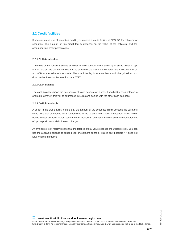# **2.2 Credit facilities**

If you can make use of securities credit, you receive a credit facility at DEGIRO for collateral of securities. The amount of this credit facility depends on the value of the collateral and the accompanying credit percentages.

## **2.2.1 Collateral value**

The value of the collateral serves as cover for the securities credit taken up or still to be taken up. In most cases, the collateral value is fixed at 70% of the value of the shares and investment funds and 80% of the value of the bonds. This credit facility is in accordance with the guidelines laid down in the Financial Transactions Act (WFT).

## **2.2.2 Cash Balance**

The cash balance shows the balances of all cash accounts in Euros. If you hold a cash balance in a foreign currency, this will be expressed in Euros and settled with the other cash balances.

## **2.2.3 Deficit/available**

A deficit in the credit facility means that the amount of the securities credit exceeds the collateral value. This can be caused by a sudden drop in the value of the shares, investment funds and/or bonds in your portfolio. Other reasons might include an alteration in the cash balance, settlement of option positions or debit interest charges.

<span id="page-5-0"></span>An available credit facility means that the total collateral value exceeds the utilised credit. You can use the available balance to expand your investment portfolio. This is only possible if it does not lead to a margin deficit.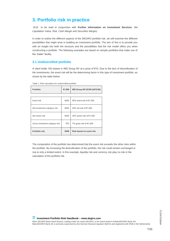# **3. Portfolio risk in practice**

(N.B.: to be read in conjunction with **Further Information on Investment Services**: *Net Liquidation Value, Risk, Cash Margin and Securities Margin)*

In order to outline the different aspects of the DEGIRO portfolio risk, we will examine the different possibilities that might arise in building an investment portfolio. The aim of this is to provide you with an insight into both the structure and the possibilities that the risk model offers you when constructing a portfolio. The following examples are based on sample portfolios that make use of the 'trader' facility.

# **3.1 Undiversified portfolio**

A client holds 100 shares in ING Group NV at a price of €10. Due to the lack of diversification of the investments, the event risk will be the determining factor in this type of investment portfolio, as shown by the table below:

| <b>I QUIC T. INDIVOGIONATION OF QHORVOLUMO PORTUOID</b> |        |                              |
|---------------------------------------------------------|--------|------------------------------|
| <b>Portfolio</b>                                        | €1,000 | ING Group NV (€100 to€10.00) |
|                                                         |        |                              |
| Event risk                                              | €500   | 50% event risk of €1,000     |
| Net investment category risk                            | €200   | 20% net risk of €1,000       |
| Net sector risk                                         | €300   | 30% sector risk of €1,000    |
| Gross investment category risk                          | €70    | 7% gross risk of €1,000      |
| Portfolio risk                                          | €500   | Risk based on event risk     |

Table 1: Risk calculation for undiversified portfolio

The composition of the portfolio has determined that the event risk exceeds the other risks within the portfolio. By increasing the diversification of the portfolio, the risk could remain unchanged or rise to only a limited extent. In this example, liquidity risk and currency risk play no role in the calculation of the portfolio risk.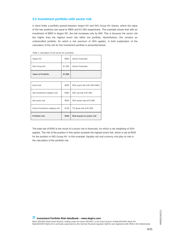# **3.2 Investment portfolio with sector risk**

A client holds a portfolio spread between Aegon NV and ING Group NV shares, where the value of the two positions are equal to €800 and €1,000 respectively. This example shows that with an investment of €800 in Aegon NV, the risk increases only by €40. This is because the sector risk lies higher than the highest event risk within the portfolio. Nevertheless, this remains an undiversified portfolio, for which a risk premium of 30% applies. A brief explanation of the calculation of the risk for this investment portfolio is presented below.

| Aegon NV                  | €800   | <b>Sector Financials</b> |  |
|---------------------------|--------|--------------------------|--|
| <b>ING Group NV</b>       | €1,000 | <b>Sector Financials</b> |  |
| <b>Value of Portfolio</b> | €1,800 |                          |  |

Table 2: calculation of risk sector for a portfolio

| Event risk                     | €500 | 50% event risk of €1,000 (ING) |
|--------------------------------|------|--------------------------------|
| Net investment category risk   | €360 | 20% net risk of €1,800         |
| Net sector risk                | €540 | 30% sector risk of €1,800      |
| Gross investment category risk | €126 | 7% gross risk of €1,800        |
| Portfolio risk                 | €540 | Risk based on sector risk      |

The total risk of €540 is the result of a sector risk in financials, for which a risk weighting of 30% applies. The risk of the position in this sector exceeds the highest event risk, which is set at €500 for the position in ING Group NV. In this example, liquidity risk and currency risk play no role in the calculation of the portfolio risk.

**= Investment Portfolio Risk Handbook – [www.degiro.com](http://www.degiro.com/)**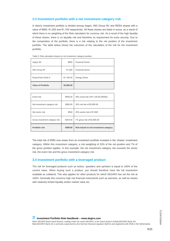# **3.3 Investment portfolio with a net investment category risk**

A client's investment portfolio is divided among Aegon, ING Group NV and RDSA shares with a value of €800, €1,000 and €1,100 respectively. All these shares are listed in euros, as a result of which there is no weighting of the Risk calculation for currency risk. As a result of the high liquidity of these shares, there is no liquidity risk and therefore no requirement for extra security. Due to the composition of the portfolio, there is a risk relating to the net position of the investment portfolio. The table below shows the outcomes of the calculation of the risk for the investment portfolio.

| Aegon NV                  | €800      | <b>Financial Sector</b> |
|---------------------------|-----------|-------------------------|
| <b>ING Group NV</b>       | €1,000    | <b>Financial Sector</b> |
| Royal Dutch Shell A       | €1,100.00 | <b>Energy Sector</b>    |
| <b>Value of Portfolio</b> | €2,900.00 |                         |

Table 3: Risk calculation based on net investment category position

| Event risk                     | €550.00 | 50% event risk of €1,100.00 (RDSA)    |
|--------------------------------|---------|---------------------------------------|
| Net investment category risk   | €580.00 | 20% net risk of €2.900.00             |
| Net sector risk                | €540    | 30% sector risk of €1,800             |
| Gross investment category risk | €203.00 | 7% gross risk of €2,900.00            |
| Portfolio risk                 | €580.00 | Risk based on net investment category |

The total risk of €580 now arises from an investment portfolio invested in the 'shares' investment category. Within this investment category, a risk weighting of 20% of the net position and 7% of the gross position applies. In this example, the net investment category risk exceeds the sector risk, the event risk and the gross investment category risk.

## **3.4 Investment portfolio with a leveraged product**

The risk for leveraged products such as turbos, speeders and sprinters is equal to 100% of the current value. When buying such a product, you should therefore have the full investment available as collateral. This also applies for other products for which DEGIRO has set the risk at 100%. Generally this concerns high risk financial instruments such as warrants, as well as shares with relatively limited liquidity and/or market value etc.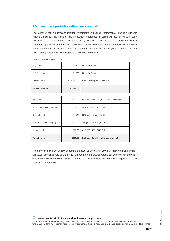# **3.5 Investment portfolio with a currency risk**

The currency risk is expressed through investments in financial instruments listed in a currency other than euros. The value of this investment expressed in euros will rise or fall with every movement in the exchange rate. For that reason, DEGIRO requires you to hold surety for this risk. The same applies for credit or credit facilities in foreign currencies in the cash account. In order to illustrate the effect of currency risk of an investment denominated in foreign currency, we assume the following investment portfolio (please see the table below).

Table 4: calculation of currency risk

| Aegon NV                  | €800       | <b>Financial Sector</b>        |
|---------------------------|------------|--------------------------------|
| <b>ING Group NV</b>       | €1,000     | <b>Financial Sector</b>        |
| Swatch Group              | CHF 950.00 | Retail Sector (CHF/EUR = 1.20) |
| <b>Value of Portfolio</b> | €2,940.00  |                                |

| Event risk                     | €570.00 | 50% event risk of €1,140.00 (Swatch Group) |
|--------------------------------|---------|--------------------------------------------|
| Net investment category risk   | €580.00 | 20% net risk of €2,900.00                  |
| Net sector risk                | €540    | 30% sector risk of €1,800                  |
| Gross investment category risk | €203.00 | 7% gross risk of €2,900.00                 |
| Currency risk                  | €80.00  | CHF 950 * 7% * CHF/EUR                     |
| Portfolio risk                 | €580.00 | Risk based partly on the currency risk     |

The currency risk is set at €80, assuming an asset value of CHF 950, a 7% risk weighting and a CHF/EUR exchange rate of 1.2. If this had been a short Swatch Group position, the currency risk outcome would also have been €80. It makes no difference here whether the net liquidation value is positive or negative.

**= Investment Portfolio Risk Handbook – [www.degiro.com](http://www.degiro.com/)**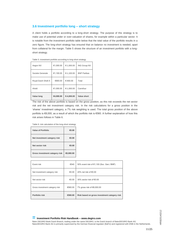# **3.6 Investment portfolio long – short strategy**

A client holds a portfolio according to a long-short strategy. The purpose of this strategy is to make use of potential under or over-valuation of shares, for example within a particular sector. It is notable from the investment portfolio table below that the total value of the portfolio results in a zero figure. The long-short strategy has ensured that on balance no investment is needed, apart from collateral for the margin. Table 5 shows the structure of an investment portfolio with a longshort strategy.

| Aegon NV            | €1,000.00 | €-1,000.00 | <b>ING Group NV</b> |
|---------------------|-----------|------------|---------------------|
| Societe Generale    | €1,100.00 | €-1,100.00 | <b>BNP Paribas</b>  |
| Royal Dutch Shell A | €900.00   | €-900.00   | Total               |
| Ahold               | €1.000.00 | €-1,000.00 | Carrefour           |
| Value long          | €4,000.00 | €-4,000.00 | Value short         |

Table 5: investment portfolio according to long-short strategy

The risk of the above portfolio is based on the gross position, as this risk exceeds the net sector risk and the net investment category risk. In the risk calculations for a gross position in the 'shares' investment category, a 7% risk weighting is used. The total gross position of the above portfolio is €8,000, as a result of which the portfolio risk is €560. A further explanation of how this risk arises follows in Table 6.

#### Table 6: risk calculation of the long-short strategy

| Value of Portfolio             | €0.00     |
|--------------------------------|-----------|
| Net investment category risk   | €0.00     |
| Net sector risk                | €0.00     |
| Gross investment category risk | €8,000.00 |

| Event risk                     | €540    | 50% event risk of €1,100 (Soc. Gen./ BNP)    |
|--------------------------------|---------|----------------------------------------------|
| Net investment category risk   | €0.00   | 20% net risk of $\epsilon$ 0.00              |
| Net sector risk                | €0.00   | 30% sector risk of $\epsilon$ 0.00           |
| Gross investment category risk | €560.00 | 7% gross risk of €8,000.00                   |
| Portfolio risk                 | €560.00 | Risk based on gross investment category risk |

### **= Investment Portfolio Risk Handbook – [www.degiro.com](http://www.degiro.com/)**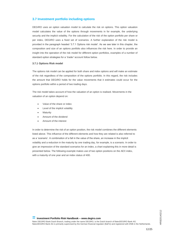# **3.7 Investment portfolio including options**

DEGIRO uses an option valuation model to calculate the risk on options. This option valuation model calculates the value of the options through movements in for example, the underlying security and the implicit volatility. For the calculation of the risk of the option portfolio per share or per index, DEGIRO uses a fixed set of scenarios. A further explanation of the risk model is provided in the paragraph headed '3.7.1 Options risk model'. As we see later in this chapter, the composition and size of an options portfolio also influences the risk here. In order to provide an insight into the operation of the risk model for different option portfolios, examples of a number of standard option strategies for a '*trader'* account follow below.

## **3.7.1 Options Risk model**

The options risk model can be applied for both share and index options and will make an estimate of the risk regardless of the composition of the options portfolio. In this regard, the risk includes the amount that DEGIRO holds for the value movements that it estimates could occur for the options portfolio within a period of two trading days.

The risk model takes account of how the valuation of an option is realised. Movements in the valuation of an option depend on:

- Value of the share or index
- Level of the implicit volatility
- **Maturity**
- Amount of the dividend
- Amount of the interest

In order to determine the risk of an option position, the risk model combines the different elements listed above. This influence of the different elements and how they are related is also referred to as a 'scenario'. A combination of a fall in the value of the share, an increase in the implicit volatility and a reduction in the maturity by one trading day, for example, is a scenario. In order to give an impression of the standard scenarios for an index, a chart explaining this in more detail is presented below. The following example makes use of two option positions on the AEX index, with a maturity of one year and an index status of 400.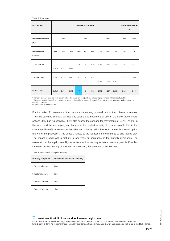|  |  |  | Table 7: Risk model |
|--|--|--|---------------------|
|--|--|--|---------------------|

| <b>Risk model</b>                  |             |        |                                   |        | Standard scenario* |     |            | <b>Extreme scenario</b><br>$**$ |                                   |        |        |
|------------------------------------|-------------|--------|-----------------------------------|--------|--------------------|-----|------------|---------------------------------|-----------------------------------|--------|--------|
| <b>Movements in index</b><br>(400) |             | $-15%$ |                                   |        | 0%                 |     |            | 15%                             |                                   | $-60%$ | 60%    |
| <b>Movements in</b><br>volatility  | $-15%$      | $0\%$  | 15%                               | $-15%$ | $0\%$              | 15% | $-15%$     | $0\%$                           | 15%                               | 0%     | 0%     |
| 1 Call AEX 390                     | ÷,<br>1.913 | 1.816  | $\overline{\phantom{a}}$<br>1.691 | $-279$ | $-1$               | 279 | 4.294      | 4.419                           | 4.575                             | $-310$ | 3.353  |
| 1 put AEX 410                      | 4.731       | 4.779  | 4.853                             | $-267$ | $-4$               | 272 | ٠<br>2.492 | ä,<br>2.282                     | $\overline{\phantom{a}}$<br>2.051 | 3.437  | $-445$ |
| Portfolio risk                     | 2.818       | 2.963  | 3.162                             | $-546$ | $-5$               | 551 | 1.802      | 2.137                           | 2.524                             | 3.127  | 2.908  |

\* Standard scenario consists of 12 movements in the share (or index) with accompanying movements in the implied volatility

\*\* Extreme scenario: factor 5 of movement in share (or index) in the standard scenario (including standard increases and decreases in volatility), outcome

is scaled back by a factor of 6.5.

For the sake of convenience, the overview shows only a small part of the different scenarios. Thus the standard scenario will not only calculate a movement of 15% in the index alone (share options 20%, barring changes), it will also assess the scenario for movements of 2.5%, 5% etc. in the index and the accompanying changes in the implicit volatility. It is also notable that in the scenario with a 0% movement in the index and volatility, still a loss of €1 arises for the call option and €4 for the put option. This effect is related to the reduction in the maturity by one trading day. The impact is small with a maturity of one year, but increases as the maturity diminishes. The movement in the implicit volatility for options with a maturity of more than one year is 15%, but increases as the maturity diminishes. In table form, this amounts to the following.

| <b>Maturity of options</b> | Movements in implicit volatility |
|----------------------------|----------------------------------|
| < 30 calendar days         | 50%                              |
| 90 calendar days           | 35%                              |
| 180 calendar days          | 25%                              |
| > 360 calendar days        | 15%                              |

## **= Investment Portfolio Risk Handbook – [www.degiro.com](http://www.degiro.com/)**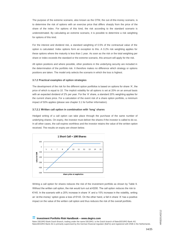The purpose of the extreme scenario, also known as the OTM, the out-of-the-money scenario, is to determine the risk of options with an exercise price that differs sharply from the price of the share of the index. For options of this kind, the risk according to the standard scenario is underestimated. By calculating an extreme scenario, it is possible to determine a risk weighting for options of this kind.

For the interest and dividend risk, a standard weighting of 0.5% of the contractual value of the option is calculated. Index options form an exception to this. A 0.2% risk weighting applies for these options where the maturity is less than 1 year. As soon as the risk or the total weighting per share or index exceeds the standard or the extreme scenario, this amount will apply for the risk.

All option positions and where possible, other positions in the underlying security are included in the determination of the portfolio risk. It therefore makes no difference which strategy or options positions are taken. The model only selects the scenario in which the loss is highest.

#### **3.7.2 Practical examples of option strategies**

The development of the risk for the different option portfolios is based on options for share 'A', the price of which is equal to 10. The implicit volatility for all options is set at 20% on an annual basis with an expected dividend of 2% per year. For the 'A' share, a standard 20% weighting applies for the current share price. For a calculation of the event risk of a share option portfolio, a minimum impact of 50% applies (please see chapter 3.1 for further information).

#### **3.7.2.1 Written call option in combination with 'long' shares**

Hedged writing of a call option can take place through the purchase of the same number of underlying shares. On expiry, the investor must deliver the shares if the investor is called to do so. In all other cases, the call expires worthless and the investor retains the value of the written option received. The results on expiry are shown below.



Writing a call option for shares reduces the risk of the investment portfolio as shown by Table 9. Without the written call option, the risk would turn out at €200. The call option reduces the risk to €145. In the scenario with a 20% increase in share 'A' and a 15% increase in the volatility, writing an 'at-the-money' option gives a loss of €143. On the other hand, a fall in share 'A' has a positive impact on the value of the written call option and thus reduces the risk of the overall portfolio.

#### **= Investment Portfolio Risk Handbook – [www.degiro.com](http://www.degiro.com/)**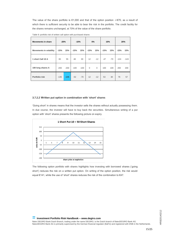The value of the share portfolio is €1,000 and that of the option position -/-€70, as a result of which there is sufficient security to be able to bear the risk in the portfolio. The credit facility for the shares remains unchanged, at 70% of the value of the share portfolio.

| <b>Movements in share</b>      | $-20%$ |        | $-10%$ |        | 0%           |          | 10%    |       |        | 20%    |
|--------------------------------|--------|--------|--------|--------|--------------|----------|--------|-------|--------|--------|
| <b>Movements in volatility</b> | $-15%$ | 15%    | $-15%$ | 15%    | $-15%$       | 15%      | $-15%$ | 15%   | $-15%$ | 15%    |
| 1 short Call 10 A              | 65     | 55     | 48     | 30     | 12           | $-12$    | $-47$  | $-70$ | $-124$ | $-143$ |
| 100 long shares A              | $-200$ | $-200$ | $-100$ | $-100$ | $\mathbf{0}$ | $\Omega$ | 100    | 100   | 200    | 200    |
| Portfolio risk                 | $-135$ | $-145$ | $-52$  | $-70$  | 12           | $-12$    | 53     | 30    | 76     | 57     |

Table 9: portfolio risk of written call option with purchased shares

#### **3.7.2.2 Written put option in combination with 'short' shares**

'Going short' in shares means that the investor sells the shares without actually possessing them. In due course, the investor will have to buy back the securities. Simultaneous writing of a put option with 'short' shares presents the following picture on expiry.



The following option portfolio with shares highlights how investing with borrowed shares ('going short') reduces the risk on a written put option. On writing of the option position, the risk would equal €141, while the use of 'short' shares reduces the risk of the combination to €47.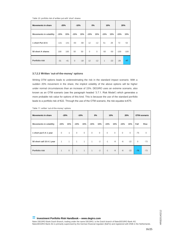Table 10: portfolio risk of written put with 'short' shares

| <b>Movements in share</b>      | $-20%$ |        | $-10%$         |       | 0%          |             | 10%    |       |        | 20%    |
|--------------------------------|--------|--------|----------------|-------|-------------|-------------|--------|-------|--------|--------|
| <b>Movements in volatility</b> | $-15%$ | 15%    | $-15%$         | 15%   | $-15%$      | 15%         | $-15%$ | 15%   | $-15%$ | 15%    |
| 1 short Put 10 A               | $-131$ | $-141$ | $-50$          | $-68$ | 12          | $-12$       | 51     | 28    | 72     | 53     |
| 50 short A shares              | 100    | 100    | 50             | 50    | $\mathbf 0$ | $\mathbf 0$ | $-50$  | $-50$ | $-100$ | $-100$ |
| Portfolio risk                 | $-31$  | $-41$  | $\overline{0}$ | $-18$ | 12          | $-12$       | 1      | $-22$ | $-28$  | $-47$  |

## **3.7.2.3 Written 'out-of-the-money' options**

Writing OTM options leads to underestimating the risk in the standard impact scenario. With a sudden 20% movement in the share, the implicit volatility of the above options will be higher under normal circumstances than an increase of 15%. DEGIRO uses an extreme scenario, also known as an OTM scenario (see the paragraph headed '3.7.1. Risk Model') which generates a more probable risk value for options of this kind. This is because the use of the standard portfolio leads to a portfolio risk of €22. Through the use of the OTM scenario, the risk equates to €75.

| <b>Movements in share</b>      | $-20%$       |              | $-10%$       |              | $0\%$        |              | 10%         |              |              | 20%         |          | OTM scenario |
|--------------------------------|--------------|--------------|--------------|--------------|--------------|--------------|-------------|--------------|--------------|-------------|----------|--------------|
| <b>Movements in volatility</b> | $-15%$       | 15%          | $-15%$       | 15%          | $-15%$       | 15%          | $-15%$      | 15%          | $-15%$       | 15%         | Fall     | Rise         |
| 1 short put 5 A 1 year         | $\mathbf 0$  | $-1$         | $\mathbf 0$  | $\mathbf 0$  | $\mathbf{0}$ | $\mathbf{0}$ | $\mathbf 0$ | $\mathbf{0}$ | $\mathbf{0}$ | $\mathbf 0$ | $-75$    | $\mathbf 0$  |
| 50 short call 15 A 1 year      | 1            | $\mathbf{1}$ | 1            | $\mathbf{1}$ | $\mathbf{1}$ | $-2$         | $-1$        | $-9$         | $-6$         | $-22$       | $\Omega$ | $-73$        |
| Portfolio risk                 | $\mathbf{1}$ | $\mathbf{0}$ | $\mathbf{1}$ | $\mathbf{1}$ | $\mathbf{1}$ | $-2$         | $-1$        | $-9$         | $-6$         | $-22$       | $-75$    | $-73$        |

Table 11: written 'out-of-the-money' options

**= Investment Portfolio Risk Handbook – [www.degiro.com](http://www.degiro.com/)**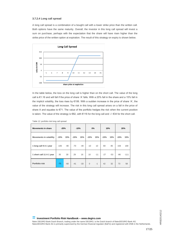#### **3.7.2.4 Long call spread**

A long call spread is a combination of a bought call with a lower strike price than the written call. Both options have the same maturity. Overall, the investor in this long call spread will invest a sum on purchase, perhaps with the expectation that the share will have risen higher than the strike price of the written option at expiration. The result of this strategy on expiry is shown below.



In the table below, the loss on the long call is higher than on the short call. The value of the long call is €1.16 and will fall if the price of share 'A' falls. With a 20% fall in the share and a 15% fall in the implicit volatility, the loss rises by €106. With a sudden increase in the price of share 'A', the value of the strategy will increase. The risk in this long call spread arises on a fall in the price of share A and equates to €71. The value of the portfolio hedges the risk when the current position is taken. The value of the strategy is €82, with €116 for the long call and -/- €34 for the short call.

| <b>Movements in share</b>      | $-20%$ |       | $-10%$ |       | $0\%$          |       | 10%    |       |        | 20%    |
|--------------------------------|--------|-------|--------|-------|----------------|-------|--------|-------|--------|--------|
| <b>Movements in volatility</b> | $-15%$ | 15%   | $-15%$ | 15%   | $-15%$         | 15%   | $-15%$ | 15%   | $-15%$ | 15%    |
| 1 long call 9 A 1 year         | $-106$ | $-90$ | $-70$  | $-49$ | $-10$          | 10    | 69     | 85    | 159    | 169    |
| 1 short call 11 A 1 year       | 35     | 30    | 29     | 16    | 10             | $-11$ | $-27$  | $-53$ | $-86$  | $-111$ |
| Portfolio risk                 | $-71$  | $-60$ | $-41$  | $-33$ | $\overline{0}$ | $-1$  | 42     | 32    | 73     | 58     |

Table 12: portfolio risk long call spread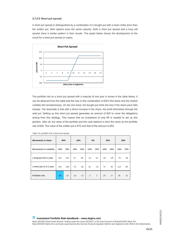#### **3.7.2.5 Short put spread**

A short put spread is distinguished by a combination of a bought put with a lower strike price than the written put. Both options have the same maturity. Both a short put spread and a long call spread show a similar pattern in their results. The graph below shows the development of the result for a short put spread on expiry.



The portfolio risk on a short put spread with a maturity of one year is shown in the table below. It can be deduced from the table that the loss in this combination is €28 if the share and the implicit volatility fall simultaneously. On the one hand, the bought put limits the loss if the share price falls sharply. The downside is that with a direct increase in the share, the profit diminishes through the sold put. Setting up this short put spread generates an amount of €20 to cover the obligations arising from this strategy. This means that an investment of only €8 is needed to set up this position. After all, the value of the portfolio and the cash balance is then the same as the portfolio risk of €28. The value of the written put is €72 and that of the sold put is €52.

| <b>Movements in share</b>      | $-20%$ |        | $-10%$ |       | 0%     |       | 10%    |       |        | 20% |
|--------------------------------|--------|--------|--------|-------|--------|-------|--------|-------|--------|-----|
| <b>Movements in volatility</b> | $-15%$ | 15%    | $-15%$ | 15%   | $-15%$ | 15%   | $-15%$ | 15%   | $-15%$ | 15% |
| 1 long put 10 A 1 year         | 133    | 143    | 51     | 69    | $-12$  | 12    | $-52$  | $-29$ | $-75$  | -56 |
| 1 short put 11 A 1 year        | $-161$ | $-166$ | $-70$  | $-82$ | 10     | $-10$ | 72     | 46    | 113    | 88  |
| Portfolio risk                 | $-28$  | $-23$  | $-19$  | $-13$ | $-2$   | 2     | 20     | 17    | 38     | 32  |

Table 13: portfolio risk of short put spread

**= Investment Portfolio Risk Handbook – [www.degiro.com](http://www.degiro.com/)**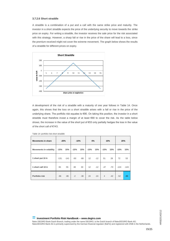### **3.7.2.6 Short straddle**

A straddle is a combination of a put and a call with the same strike price and maturity. The investor in a short straddle expects the price of the underlying security to move towards the strike price on expiry. For writing a straddle, the investor receives the sale price for the risk associated with this strategy. However, a sharp fall or rise in the price of the share will lead to a loss, since the premium received might not cover the extreme movement. The graph below shows the results of a straddle for different prices on expiry.



A development of the risk of a straddle with a maturity of one year follows in Table 14. Once again, this shows that the loss on a short straddle arises with a fall or rise in the price of the underlying share. The portfolio risk equates to €90. On taking this position, the investor in a short straddle must therefore invest a margin of at least €90 to cover the risk. As the table below shows, the increase in the value of the short put of €53 only partially hedges the loss in the value of the short call of €143.

| <b>Movements in share</b>      | $-20%$ |        | $-10%$ |       | 0%     |       | 10%            |       |        | 20%    |
|--------------------------------|--------|--------|--------|-------|--------|-------|----------------|-------|--------|--------|
| <b>Movements in volatility</b> | $-15%$ | 15%    | $-15%$ | 15%   | $-15%$ | 15%   | $-15%$         | 15%   | $-15%$ | 15%    |
| 1 short put 10 A               | $-131$ | $-141$ | $-50$  | $-68$ | 12     | $-12$ | 51             | 28    | 72     | 53     |
| 1 short call 10 A              | 65     | 55     | 48     | 30    | 12     | $-12$ | $-47$          | $-70$ | $-124$ | $-143$ |
| Portfolio risk                 | $-66$  | $-86$  | $-2$   | $-38$ | 24     | $-24$ | $\overline{4}$ | $-42$ | $-52$  | $-90$  |

Table 14: portfolio risk short straddle

**= Investment Portfolio Risk Handbook – [www.degiro.com](http://www.degiro.com/)**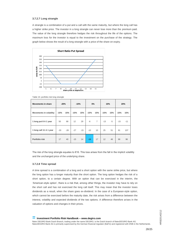#### **3.7.2.7 Long strangle**

A strangle is a combination of a put and a call with the same maturity, but where the long call has a higher strike price. The investor in a long strangle can never lose more than the premium paid. The value of the long strangle therefore hedges the risk throughout the life of the options. The maximum loss for the investor is equal to the investment on the purchase of the strategy. The graph below shows the result of a long strangle with a price of the share on expiry.



|  |  | Table 15: portfolio risk long strangle |  |  |  |
|--|--|----------------------------------------|--|--|--|
|--|--|----------------------------------------|--|--|--|

| <b>Movements in share</b>      | $-20%$ |       | $-10%$ |       | 0%     |                | 10%    |      |        | 20%   |
|--------------------------------|--------|-------|--------|-------|--------|----------------|--------|------|--------|-------|
| <b>Movements in volatility</b> | $-15%$ | 15%   | $-15%$ | 15%   | $-15%$ | 15%            | $-15%$ | 15%  | $-15%$ | 15%   |
| 1 long put 8 A 1 year          | 50     | 68    | 12     | 29    | $-6$   | $\overline{7}$ | $-13$  | $-5$ | $-15$  | $-11$ |
| 1 long call 11 A 1 year        | $-33$  | $-28$ | $-27$  | $-15$ | $-10$  | 10             | 25     | 51   | 81     | 107   |
| Portfolio risk                 | 17     | 40    | $-15$  | 14    | $-16$  | 17             | 12     | 46   | 66     | 96    |

The risk of the long strangle equates to €16. This loss arises from the fall in the implicit volatility and the unchanged price of the underlying share.

#### **3.7.2.8 Time spread**

A time spread is a combination of a long and a short option with the same strike price, but where the long option has a longer maturity than the short option. The long option hedges the risk of a short option, to a certain degree. With an option that can be exercised in the interim, the 'American-style option', there is a risk that, among other things, the investor may have to rely on the short call and has not exercised the long call itself. This may mean that the investor loses dividends as a result, when the share goes ex-dividend. In the case of a European-style option, which cannot be exercised before the maturity date, the risk arises from a difference between the interest, volatility and expected dividends of the two options. A difference therefore arises in the valuation of options and changes in their prices.

#### **= Investment Portfolio Risk Handbook – [www.degiro.com](http://www.degiro.com/)**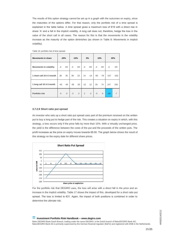The results of this option strategy cannot be set up in a graph with the outcomes on expiry, since the maturities of the options differ. For that reason, only the portfolio risk of a time spread is explained in the table below. A time spread gives a maximum loss of €19 with a direct rise in share 'A' and a fall in the implicit volatility. A long call does not, therefore, hedge the loss in the value of the short call in all cases. The reason for this is that the movements in the volatility increase as the maturity of the option diminishes (as shown in Table 8: Movements in implicit volatility).

| <b>Movements in share</b>      |       | $-20%$ |       | $-10%$ |                | 0%    |       | 10%   |        | 20%    |
|--------------------------------|-------|--------|-------|--------|----------------|-------|-------|-------|--------|--------|
| <b>Movements in volatility</b> | -/-   | $+/-$  | $-I-$ | $+/-$  | -/-            | $+/-$ | -/-   | $+/-$ | -/-    | $+/-$  |
| 1 short call 10 A 3 month      | 38    | 35     | 36    | 23     | 14             | $-14$ | $-60$ | $-79$ | $-157$ | $-163$ |
| 1 long call 10 A 6 month       | $-43$ | $-40$  | $-39$ | $-25$  | $-12$          | 12    | 55    | 74    | 147    | 156    |
| Portfolio risk                 | $-5$  | -5     | $-3$  | $-2$   | $\overline{2}$ | $-2$  | $-5$  | $-5$  | $-10$  | $-7$   |

Table 16: portfolio risk of time spread

#### **3.7.2.9 Short ratio put spread**

An investor who sets up a short ratio put spread uses part of the premium received on the written put to buy a long put to hedge part of the risk. This creates a situation on expiry in which, with this strategy, a loss occurs only if the price falls by more than 15%. With a virtually unchanged price, the yield is the difference between the costs of the put and the proceeds of the written puts. The profit increases as the price on expiry moves towards €8.50. The graph below shows the result of this strategy on the expiry date for different share prices.



For the portfolio risk that DEGIRO uses, the loss will arise with a direct fall in the price and an increase in the implicit volatility. Table 17 shows the impact of this, developed for a short ratio put spread. The loss is limited to €31. Again, the impact of both positions is combined in order to determine the ultimate risk.

#### **= Investment Portfolio Risk Handbook – [www.degiro.com](http://www.degiro.com/)**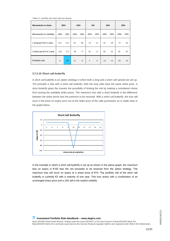Table 17: portfolio risk short ratio put spread

| <b>Movements in share</b>      | $-20%$ |        | $-10%$ |       | 0%             |                 | 10%    |       |        | 20%   |
|--------------------------------|--------|--------|--------|-------|----------------|-----------------|--------|-------|--------|-------|
| <b>Movements in volatility</b> | $-15%$ | 15%    | $-15%$ | 15%   | $-15%$         | 15%             | $-15%$ | 15%   | $-15%$ | 15%   |
| 1 long put 10 A 1 year         | 131    | 141    | 50     | 68    | $-12$          | 12 <sup>2</sup> | $-51$  | $-28$ | $-72$  | $-53$ |
| 2 short put 8.5 A 1 year       | $-136$ | $-172$ | $-36$  | $-77$ | 16             | $-17$           | 38     | 16    | 46     | 34    |
| Portfolio risk                 | $-5$   | $-31$  | 14     | $-9$  | $\overline{4}$ | $-5$            | $-13$  | $-12$ | $-26$  | $-19$ |

### **3.7.2.10 Short call butterfly**

A short call butterfly is an option strategy in which both a long and a short call spread are set up. The principle is that with a short call butterfly, both the long calls have the same strike price. A short butterfly gives the investor the possibility of limiting the risk by making a considered choice from among the available strike prices. The maximum loss with a short butterfly is the difference between the strike prices less the premium to be received. With a short call butterfly, this loss will occur if the price on expiry turns out at the strike price of the calls purchased, as is made clear in the graph below.



In the example in which a short call butterfly is set up as shown in the above graph, the maximum loss on expiry is €100 less the net proceeds to be received from the option strategy. The maximum loss will occur on expiry at a share price of €10. The portfolio risk of the short call butterfly is currently €3 with a maturity of one year. This loss arises with a combination of an unchanged share price and a 15% fall in the implicit volatility.

> **HRB20140212** HRB20140212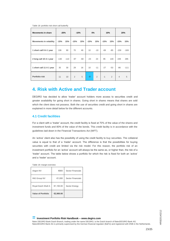| <b>Movements in share</b>      | $-20%$ |        | $-10%$         |       | 0%     |                | 10%    |       |                | 20%    |
|--------------------------------|--------|--------|----------------|-------|--------|----------------|--------|-------|----------------|--------|
| <b>Movements in volatility</b> | $-15%$ | 15%    | $-15%$         | 15%   | $-15%$ | 15%            | $-15%$ | 15%   | $-15%$         | 15%    |
| 1 short call 9 A 1 year        | 106    | 90     | 70             | 49    | 10     | $-10$          | $-69$  | $-85$ | $-159$         | $-169$ |
| 2 long call 10 A 1 year        | $-130$ | $-110$ | $-97$          | $-60$ | $-23$  | 23             | 95     | 140   | 249            | 285    |
| 1 short call 11 A 1 year       | 35     | 30     | 29             | 16    | 10     | $-11$          | $-27$  | $-53$ | $-86$          | $-111$ |
| Portfolio risk                 | 11     | 10     | $\overline{2}$ | 5     | $-3$   | $\overline{2}$ | $-1$   | 2     | $\overline{4}$ | 5      |

Table 18: portfolio risk short call butterfly

# <span id="page-22-0"></span>**4. Risk with Active and Trader account**

DEGIRO has decided to allow 'trader' account holders more access to securities credit and greater availability for going short in shares. Going short in shares means that shares are sold which the client does not possess. Both the use of securities credit and going short in shares are explained in more detail below for the different accounts.

# **4.1 Credit facilities**

For a client with a 'trader' account, the credit facility is fixed at 70% of the value of the shares and investment funds and 80% of the value of the bonds. This credit facility is in accordance with the guidelines laid down in the Financial Transactions Act (WFT).

An 'active' client also has the possibility of using the credit facility to buy securities. The collateral value is equal to that of a 'trader' account. The difference is that the possibilities for buying securities with credit are limited via the risk model. For this reason, the portfolio risk of an investment portfolio for an 'active' account will always be the same as, or higher than, the risk of a 'trader' account. The table below shows a portfolio for which the risk is fixed for both an 'active' and a 'trader' account.

| Aegon NV                  | €800      | Sector Financials |
|---------------------------|-----------|-------------------|
| <b>ING Group NV</b>       | €1,000    | Sector Financials |
| Royal Dutch Shell A       | €1,100.00 | Sector Energy     |
| <b>Value of Portfolio</b> | €2,900.00 |                   |

Table 19: margin overview

#### **= Investment Portfolio Risk Handbook – [www.degiro.com](http://www.degiro.com/)**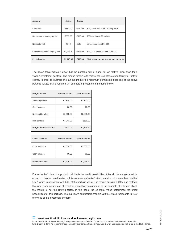| <b>Account</b>                 | Active    | Trader  |                                       |
|--------------------------------|-----------|---------|---------------------------------------|
| Event risk                     | €550.00   | €550.00 | 50% event risk of €1,100.00 (RDSA)    |
| Net investment category risk   | €580.00   | €580.00 | 20% net risk of €2,900.00             |
| Net sector risk                | €540      | €540    | 30% sector risk of €1,800             |
| Gross investment category risk | €1,943.00 | €203.00 | 67% / 7% gross risk of €2,900.00      |
| Portfolio risk                 | €1,943.00 | €580.00 | Risk based on net investment category |

The above table makes it clear that the portfolio risk is higher for an 'active' client than for a 'trader' investment portfolio. The reason for this is to restrict the use of the credit facility for 'active' clients. In order to illustrate this, an insight into the maximum permissible financing of the above portfolio at DEGIRO is required. An example is presented in the table below.

| <b>Margin review</b>     | <b>Active Account</b> | <b>Trader Account</b> |
|--------------------------|-----------------------|-----------------------|
| Value of portfolio       | €2,900.00             | €2,900.00             |
| Cash balance             | €0.00                 | €0.00                 |
| Net liquidity value      | €2.900.00             | €2.900.00             |
| Risk portfolio           | €1.943.00             | €580.00               |
| Margin (deficit/surplus) | €977.00               | €2,320.00             |

| <b>Credit facilities</b> | <b>Active Account</b> | <b>Trader Account</b> |
|--------------------------|-----------------------|-----------------------|
| Collateral value         | €2,030.00             | €2,030.00             |
| Cash balance             | €0.00                 | €0.00                 |
| Deficit/available        | €2,030.00             | €2,030.00             |

For an 'active' client, the portfolio risk limits the credit possibilities. After all, the margin must be equal to or higher than the risk. In this example, an 'active' client can take out a securities credit of €977, which is consistent with 34% of the portfolio value. The margin surplus is €977 and restricts the client from making use of credit for more than this amount. In the example of a 'trader' client, the margin is not the limiting factor. In this case, the collateral value determines the credit possibilities for this portfolio. The maximum permissible credit is €2,030, which represents 70% of the value of the investment portfolio.